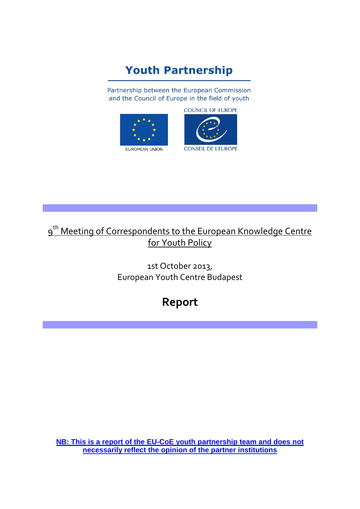# **Youth Partnership**

Partnership between the European Commission and the Council of Europe in the field of youth



**COUNCIL OF EUROPE** 



## 9<sup>th</sup> Meeting of Correspondents to the European Knowledge Centre for Youth Policy

1st October 2013, European Youth Centre Budapest

# **Report**

**NB: This is a report of the EU-CoE youth partnership team and does not necessarily reflect the opinion of the partner institutions**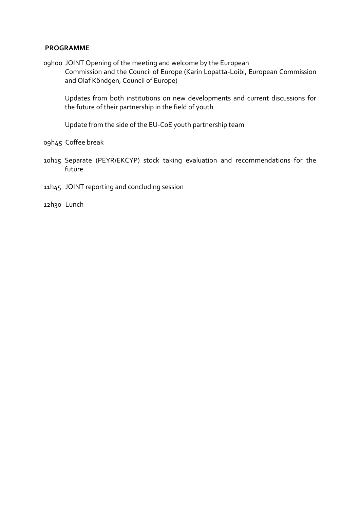#### **PROGRAMME**

09h00 JOINT Opening of the meeting and welcome by the European Commission and the Council of Europe (Karin Lopatta-Loibl, European Commission and Olaf Köndgen, Council of Europe)

Updates from both institutions on new developments and current discussions for the future of their partnership in the field of youth

Update from the side of the EU-CoE youth partnership team

09h45 Coffee break

- 10h15 Separate (PEYR/EKCYP) stock taking evaluation and recommendations for the future
- 11h45 JOINT reporting and concluding session

12h30 Lunch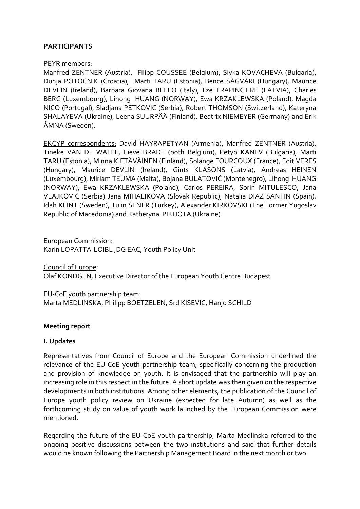## **PARTICIPANTS**

#### PEYR members:

Manfred ZENTNER (Austria), Filipp COUSSEE (Belgium), Siyka KOVACHEVA (Bulgaria), Dunja POTOCNIK (Croatia), Marti TARU (Estonia), Bence SÁGVÁRI (Hungary), Maurice DEVLIN (Ireland), Barbara Giovana BELLO (Italy), Ilze TRAPINCIERE (LATVIA), Charles BERG (Luxembourg), Lihong HUANG (NORWAY), Ewa KRZAKLEWSKA (Poland), Magda NICO (Portugal), Sladjana PETKOVIC (Serbia), Robert THOMSON (Switzerland), Kateryna SHALAYEVA (Ukraine), Leena SUURPÄÄ (Finland), Beatrix NIEMEYER (Germany) and Erik ÅMNA (Sweden).

EKCYP correspondents: David HAYRAPETYAN (Armenia), Manfred ZENTNER (Austria), Tineke VAN DE WALLE, Lieve BRADT (both Belgium), Petyo KANEV (Bulgaria), Marti TARU (Estonia), Minna KIETÄVÄINEN (Finland), Solange FOURCOUX (France), Edit VERES (Hungary), Maurice DEVLIN (Ireland), Gints KLASONS (Latvia), Andreas HEINEN (Luxembourg), Miriam TEUMA (Malta), Bojana BULATOVIĆ (Montenegro), Lihong HUANG (NORWAY), Ewa KRZAKLEWSKA (Poland), Carlos PEREIRA, Sorin MITULESCO, Jana VLAJKOVIC (Serbia) Jana MIHALIKOVA (Slovak Republic), Natalia DIAZ SANTIN (Spain), Idah KLINT (Sweden), Tulin SENER (Turkey), Alexander KIRKOVSKI (The Former Yugoslav Republic of Macedonia) and Katheryna PIKHOTA (Ukraine).

European Commission: Karin LOPATTA-LOIBL ,DG EAC, Youth Policy Unit

Council of Europe: Olaf KONDGEN, Executive Director of the European Youth Centre Budapest

EU-CoE youth partnership team: Marta MEDLINSKA, Philipp BOETZELEN, Srd KISEVIC, Hanjo SCHILD

## **Meeting report**

## **I. Updates**

Representatives from Council of Europe and the European Commission underlined the relevance of the EU-CoE youth partnership team, specifically concerning the production and provision of knowledge on youth. It is envisaged that the partnership will play an increasing role in this respect in the future. A short update was then given on the respective developments in both institutions. Among other elements, the publication of the Council of Europe youth policy review on Ukraine (expected for late Autumn) as well as the forthcoming study on value of youth work launched by the European Commission were mentioned.

Regarding the future of the EU-CoE youth partnership, Marta Medlinska referred to the ongoing positive discussions between the two institutions and said that further details would be known following the Partnership Management Board in the next month or two.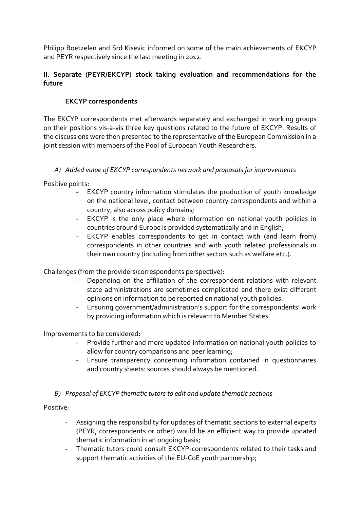Philipp Boetzelen and Srd Kisevic informed on some of the main achievements of EKCYP and PEYR respectively since the last meeting in 2012.

## **II. Separate (PEYR/EKCYP) stock taking evaluation and recommendations for the future**

## **EKCYP correspondents**

The EKCYP correspondents met afterwards separately and exchanged in working groups on their positions vis-à-vis three key questions related to the future of EKCYP. Results of the discussions were then presented to the representative of the European Commission in a joint session with members of the Pool of European Youth Researchers.

## *A) Added value of EKCYP correspondents network and proposals for improvements*

Positive points:

- EKCYP country information stimulates the production of youth knowledge on the national level, contact between country correspondents and within a country, also across policy domains;
- EKCYP is the only place where information on national youth policies in countries around Europe is provided systematically and in English;
- EKCYP enables correspondents to get in contact with (and learn from) correspondents in other countries and with youth related professionals in their own country (including from other sectors such as welfare etc.).

Challenges (from the providers/correspondents perspective):

- Depending on the affiliation of the correspondent relations with relevant state administrations are sometimes complicated and there exist different opinions on information to be reported on national youth policies.
- Ensuring government/administration's support for the correspondents' work by providing information which is relevant to Member States.

Improvements to be considered:

- Provide further and more updated information on national youth policies to allow for country comparisons and peer learning;
- Ensure transparency concerning information contained in questionnaires and country sheets: sources should always be mentioned.

## *B) Proposal of EKCYP thematic tutors to edit and update thematic sections*

Positive:

- Assigning the responsibility for updates of thematic sections to external experts (PEYR, correspondents or other) would be an efficient way to provide updated thematic information in an ongoing basis;
- Thematic tutors could consult EKCYP-correspondents related to their tasks and support thematic activities of the EU-CoE youth partnership;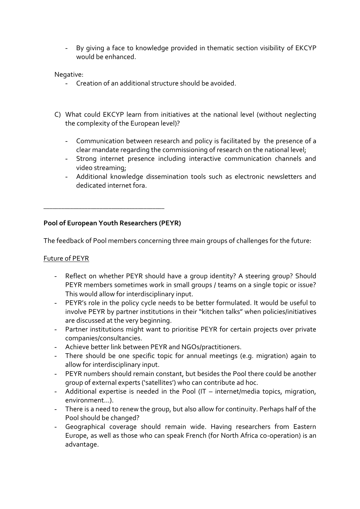By giving a face to knowledge provided in thematic section visibility of EKCYP would be enhanced.

#### Negative:

- Creation of an additional structure should be avoided.
- C) What could EKCYP learn from initiatives at the national level (without neglecting the complexity of the European level)?
	- Communication between research and policy is facilitated by the presence of a clear mandate regarding the commissioning of research on the national level;
	- Strong internet presence including interactive communication channels and video streaming;
	- Additional knowledge dissemination tools such as electronic newsletters and dedicated internet fora.

## **Pool of European Youth Researchers (PEYR)**

\_\_\_\_\_\_\_\_\_\_\_\_\_\_\_\_\_\_\_\_\_\_\_\_\_\_\_\_\_\_\_\_\_\_\_\_\_\_\_\_\_

The feedback of Pool members concerning three main groups of challenges for the future:

## Future of PEYR

- Reflect on whether PEYR should have a group identity? A steering group? Should PEYR members sometimes work in small groups / teams on a single topic or issue? This would allow for interdisciplinary input.
- PEYR's role in the policy cycle needs to be better formulated. It would be useful to involve PEYR by partner institutions in their "kitchen talks" when policies/initiatives are discussed at the very beginning.
- Partner institutions might want to prioritise PEYR for certain projects over private companies/consultancies.
- Achieve better link between PEYR and NGOs/practitioners.
- There should be one specific topic for annual meetings (e.g. migration) again to allow for interdisciplinary input.
- PEYR numbers should remain constant, but besides the Pool there could be another group of external experts ('satellites') who can contribute ad hoc.
- Additional expertise is needed in the Pool (IT internet/media topics, migration, environment…).
- There is a need to renew the group, but also allow for continuity. Perhaps half of the Pool should be changed?
- Geographical coverage should remain wide. Having researchers from Eastern Europe, as well as those who can speak French (for North Africa co-operation) is an advantage.